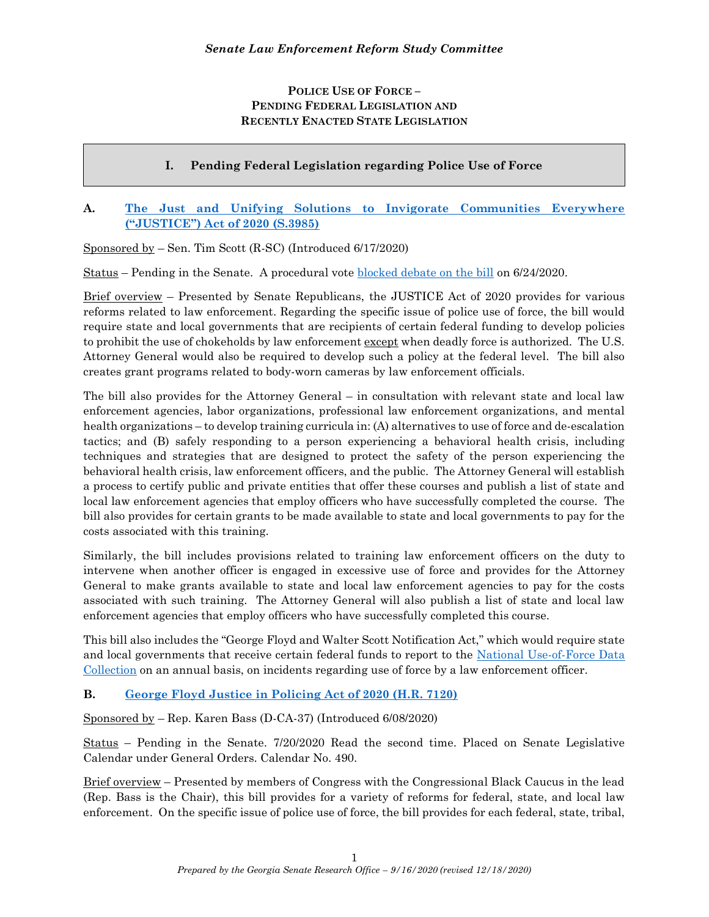## POLICE USE OF FORCE – PENDING FEDERAL LEGISLATION AND RECENTLY ENACTED STATE LEGISLATION

# I. Pending Federal Legislation regarding Police Use of Force

## A. The Just and Unifying Solutions to Invigorate Communities Everywhere ("JUSTICE") Act of 2020 (S.3985)

Sponsored by – Sen. Tim Scott (R-SC) (Introduced 6/17/2020)

Status – Pending in the Senate. A procedural vote blocked debate on the bill on 6/24/2020.

Brief overview – Presented by Senate Republicans, the JUSTICE Act of 2020 provides for various reforms related to law enforcement. Regarding the specific issue of police use of force, the bill would require state and local governments that are recipients of certain federal funding to develop policies to prohibit the use of chokeholds by law enforcement except when deadly force is authorized. The U.S. Attorney General would also be required to develop such a policy at the federal level. The bill also creates grant programs related to body-worn cameras by law enforcement officials.

The bill also provides for the Attorney General – in consultation with relevant state and local law enforcement agencies, labor organizations, professional law enforcement organizations, and mental health organizations – to develop training curricula in: (A) alternatives to use of force and de-escalation tactics; and (B) safely responding to a person experiencing a behavioral health crisis, including techniques and strategies that are designed to protect the safety of the person experiencing the behavioral health crisis, law enforcement officers, and the public. The Attorney General will establish a process to certify public and private entities that offer these courses and publish a list of state and local law enforcement agencies that employ officers who have successfully completed the course. The bill also provides for certain grants to be made available to state and local governments to pay for the costs associated with this training.

Similarly, the bill includes provisions related to training law enforcement officers on the duty to intervene when another officer is engaged in excessive use of force and provides for the Attorney General to make grants available to state and local law enforcement agencies to pay for the costs associated with such training. The Attorney General will also publish a list of state and local law enforcement agencies that employ officers who have successfully completed this course.

This bill also includes the "George Floyd and Walter Scott Notification Act," which would require state and local governments that receive certain federal funds to report to the National Use-of-Force Data Collection on an annual basis, on incidents regarding use of force by a law enforcement officer.

### B. George Floyd Justice in Policing Act of 2020 (H.R. 7120)

Sponsored by – Rep. Karen Bass (D-CA-37) (Introduced 6/08/2020)

Status – Pending in the Senate. 7/20/2020 Read the second time. Placed on Senate Legislative Calendar under General Orders. Calendar No. 490.

Brief overview – Presented by members of Congress with the Congressional Black Caucus in the lead (Rep. Bass is the Chair), this bill provides for a variety of reforms for federal, state, and local law enforcement. On the specific issue of police use of force, the bill provides for each federal, state, tribal,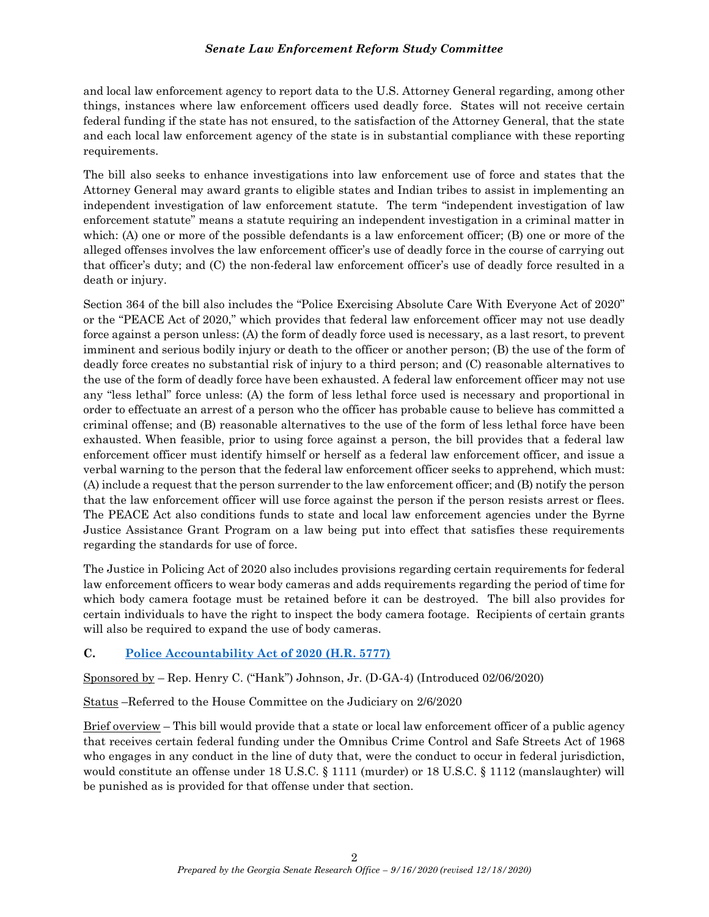and local law enforcement agency to report data to the U.S. Attorney General regarding, among other things, instances where law enforcement officers used deadly force. States will not receive certain federal funding if the state has not ensured, to the satisfaction of the Attorney General, that the state and each local law enforcement agency of the state is in substantial compliance with these reporting requirements.

The bill also seeks to enhance investigations into law enforcement use of force and states that the Attorney General may award grants to eligible states and Indian tribes to assist in implementing an independent investigation of law enforcement statute. The term "independent investigation of law enforcement statute" means a statute requiring an independent investigation in a criminal matter in which: (A) one or more of the possible defendants is a law enforcement officer; (B) one or more of the alleged offenses involves the law enforcement officer's use of deadly force in the course of carrying out that officer's duty; and (C) the non-federal law enforcement officer's use of deadly force resulted in a death or injury.

Section 364 of the bill also includes the "Police Exercising Absolute Care With Everyone Act of 2020" or the "PEACE Act of 2020," which provides that federal law enforcement officer may not use deadly force against a person unless: (A) the form of deadly force used is necessary, as a last resort, to prevent imminent and serious bodily injury or death to the officer or another person; (B) the use of the form of deadly force creates no substantial risk of injury to a third person; and (C) reasonable alternatives to the use of the form of deadly force have been exhausted. A federal law enforcement officer may not use any "less lethal" force unless: (A) the form of less lethal force used is necessary and proportional in order to effectuate an arrest of a person who the officer has probable cause to believe has committed a criminal offense; and (B) reasonable alternatives to the use of the form of less lethal force have been exhausted. When feasible, prior to using force against a person, the bill provides that a federal law enforcement officer must identify himself or herself as a federal law enforcement officer, and issue a verbal warning to the person that the federal law enforcement officer seeks to apprehend, which must: (A) include a request that the person surrender to the law enforcement officer; and (B) notify the person that the law enforcement officer will use force against the person if the person resists arrest or flees. The PEACE Act also conditions funds to state and local law enforcement agencies under the Byrne Justice Assistance Grant Program on a law being put into effect that satisfies these requirements regarding the standards for use of force.

The Justice in Policing Act of 2020 also includes provisions regarding certain requirements for federal law enforcement officers to wear body cameras and adds requirements regarding the period of time for which body camera footage must be retained before it can be destroyed. The bill also provides for certain individuals to have the right to inspect the body camera footage. Recipients of certain grants will also be required to expand the use of body cameras.

### C. Police Accountability Act of 2020 (H.R. 5777)

Sponsored by – Rep. Henry C. ("Hank") Johnson, Jr. (D-GA-4) (Introduced 02/06/2020)

Status –Referred to the House Committee on the Judiciary on 2/6/2020

Brief overview – This bill would provide that a state or local law enforcement officer of a public agency that receives certain federal funding under the Omnibus Crime Control and Safe Streets Act of 1968 who engages in any conduct in the line of duty that, were the conduct to occur in federal jurisdiction, would constitute an offense under 18 U.S.C. § 1111 (murder) or 18 U.S.C. § 1112 (manslaughter) will be punished as is provided for that offense under that section.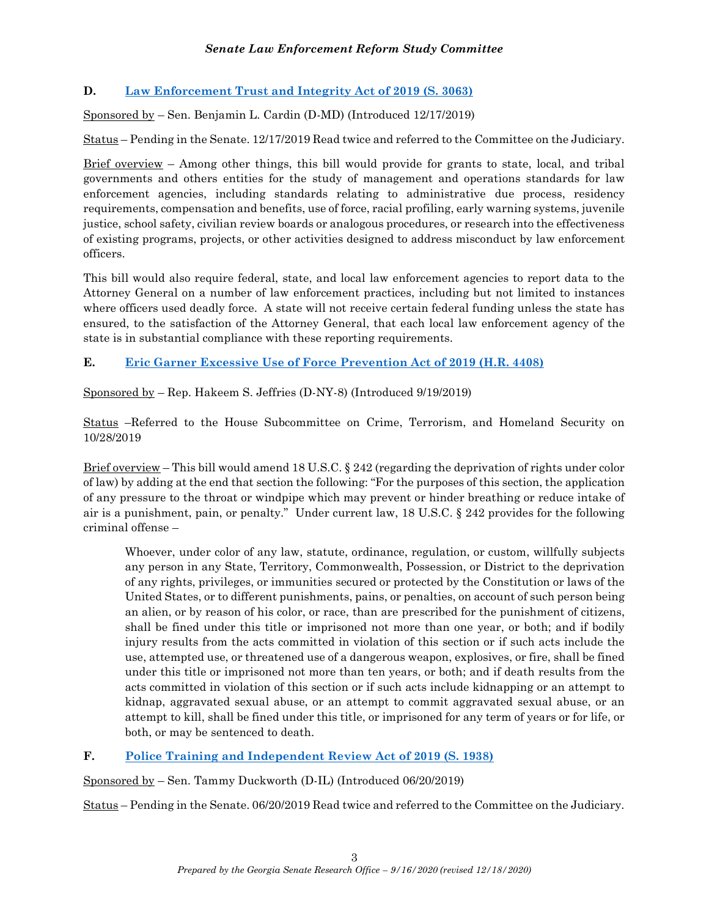## D. Law Enforcement Trust and Integrity Act of 2019 (S. 3063)

Sponsored by – Sen. Benjamin L. Cardin (D-MD) (Introduced 12/17/2019)

Status – Pending in the Senate. 12/17/2019 Read twice and referred to the Committee on the Judiciary.

Brief overview – Among other things, this bill would provide for grants to state, local, and tribal governments and others entities for the study of management and operations standards for law enforcement agencies, including standards relating to administrative due process, residency requirements, compensation and benefits, use of force, racial profiling, early warning systems, juvenile justice, school safety, civilian review boards or analogous procedures, or research into the effectiveness of existing programs, projects, or other activities designed to address misconduct by law enforcement officers.

This bill would also require federal, state, and local law enforcement agencies to report data to the Attorney General on a number of law enforcement practices, including but not limited to instances where officers used deadly force. A state will not receive certain federal funding unless the state has ensured, to the satisfaction of the Attorney General, that each local law enforcement agency of the state is in substantial compliance with these reporting requirements.

E. Eric Garner Excessive Use of Force Prevention Act of 2019 (H.R. 4408)

Sponsored by – Rep. Hakeem S. Jeffries (D-NY-8) (Introduced 9/19/2019)

Status –Referred to the House Subcommittee on Crime, Terrorism, and Homeland Security on 10/28/2019

Brief overview – This bill would amend 18 U.S.C. § 242 (regarding the deprivation of rights under color of law) by adding at the end that section the following: "For the purposes of this section, the application of any pressure to the throat or windpipe which may prevent or hinder breathing or reduce intake of air is a punishment, pain, or penalty." Under current law, 18 U.S.C. § 242 provides for the following criminal offense –

Whoever, under color of any law, statute, ordinance, regulation, or custom, willfully subjects any person in any State, Territory, Commonwealth, Possession, or District to the deprivation of any rights, privileges, or immunities secured or protected by the Constitution or laws of the United States, or to different punishments, pains, or penalties, on account of such person being an alien, or by reason of his color, or race, than are prescribed for the punishment of citizens, shall be fined under this title or imprisoned not more than one year, or both; and if bodily injury results from the acts committed in violation of this section or if such acts include the use, attempted use, or threatened use of a dangerous weapon, explosives, or fire, shall be fined under this title or imprisoned not more than ten years, or both; and if death results from the acts committed in violation of this section or if such acts include kidnapping or an attempt to kidnap, aggravated sexual abuse, or an attempt to commit aggravated sexual abuse, or an attempt to kill, shall be fined under this title, or imprisoned for any term of years or for life, or both, or may be sentenced to death.

### F. Police Training and Independent Review Act of 2019 (S. 1938)

Sponsored by – Sen. Tammy Duckworth (D-IL) (Introduced 06/20/2019)

Status – Pending in the Senate. 06/20/2019 Read twice and referred to the Committee on the Judiciary.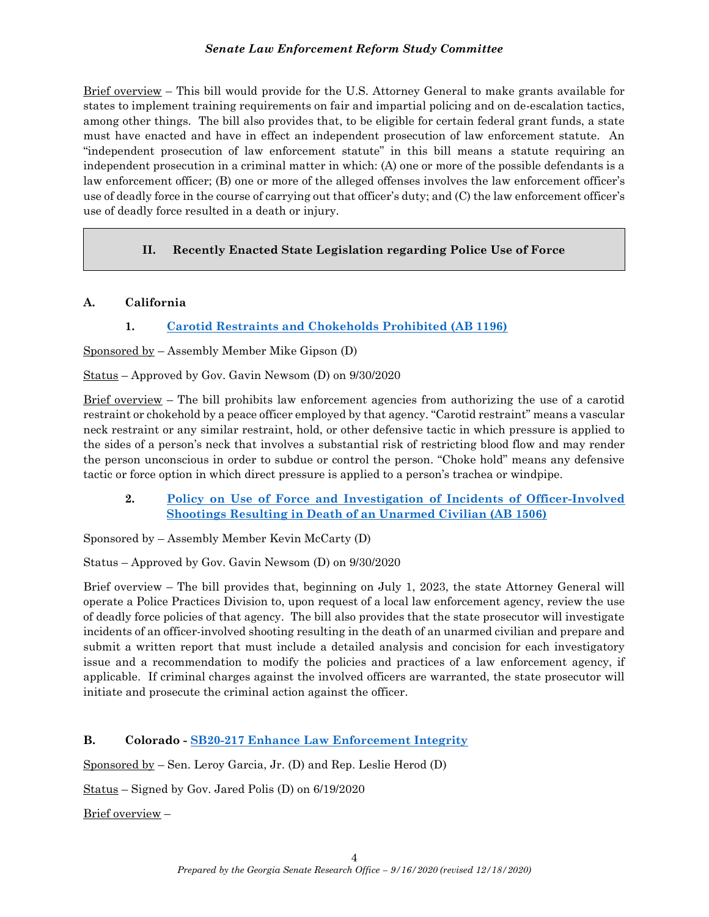Brief overview – This bill would provide for the U.S. Attorney General to make grants available for states to implement training requirements on fair and impartial policing and on de-escalation tactics, among other things. The bill also provides that, to be eligible for certain federal grant funds, a state must have enacted and have in effect an independent prosecution of law enforcement statute. An "independent prosecution of law enforcement statute" in this bill means a statute requiring an independent prosecution in a criminal matter in which: (A) one or more of the possible defendants is a law enforcement officer; (B) one or more of the alleged offenses involves the law enforcement officer's use of deadly force in the course of carrying out that officer's duty; and (C) the law enforcement officer's use of deadly force resulted in a death or injury.

# II. Recently Enacted State Legislation regarding Police Use of Force

## A. California

# 1. Carotid Restraints and Chokeholds Prohibited (AB 1196)

Sponsored by – Assembly Member Mike Gipson (D)

Status – Approved by Gov. Gavin Newsom (D) on 9/30/2020

Brief overview – The bill prohibits law enforcement agencies from authorizing the use of a carotid restraint or chokehold by a peace officer employed by that agency. "Carotid restraint" means a vascular neck restraint or any similar restraint, hold, or other defensive tactic in which pressure is applied to the sides of a person's neck that involves a substantial risk of restricting blood flow and may render the person unconscious in order to subdue or control the person. "Choke hold" means any defensive tactic or force option in which direct pressure is applied to a person's trachea or windpipe.

2. Policy on Use of Force and Investigation of Incidents of Officer-Involved Shootings Resulting in Death of an Unarmed Civilian (AB 1506)

Sponsored by – Assembly Member Kevin McCarty (D)

Status – Approved by Gov. Gavin Newsom (D) on 9/30/2020

Brief overview – The bill provides that, beginning on July 1, 2023, the state Attorney General will operate a Police Practices Division to, upon request of a local law enforcement agency, review the use of deadly force policies of that agency. The bill also provides that the state prosecutor will investigate incidents of an officer-involved shooting resulting in the death of an unarmed civilian and prepare and submit a written report that must include a detailed analysis and concision for each investigatory issue and a recommendation to modify the policies and practices of a law enforcement agency, if applicable. If criminal charges against the involved officers are warranted, the state prosecutor will initiate and prosecute the criminal action against the officer.

# B. Colorado - SB20-217 Enhance Law Enforcement Integrity

Sponsored by – Sen. Leroy Garcia, Jr. (D) and Rep. Leslie Herod (D)

Status – Signed by Gov. Jared Polis (D) on 6/19/2020

Brief overview –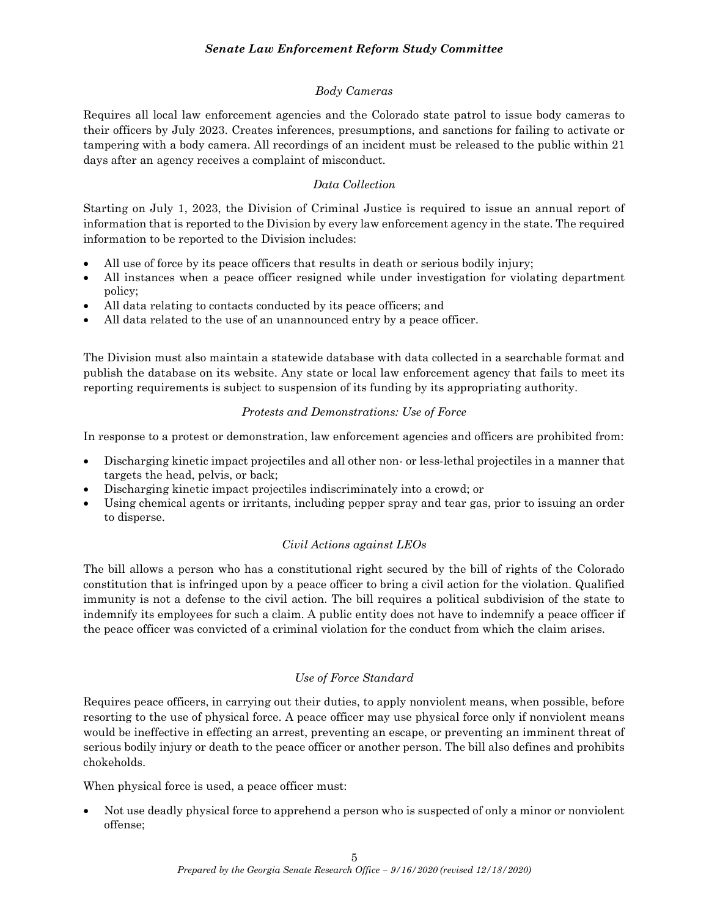## Body Cameras

Requires all local law enforcement agencies and the Colorado state patrol to issue body cameras to their officers by July 2023. Creates inferences, presumptions, and sanctions for failing to activate or tampering with a body camera. All recordings of an incident must be released to the public within 21 days after an agency receives a complaint of misconduct.

## Data Collection

Starting on July 1, 2023, the Division of Criminal Justice is required to issue an annual report of information that is reported to the Division by every law enforcement agency in the state. The required information to be reported to the Division includes:

- All use of force by its peace officers that results in death or serious bodily injury;
- All instances when a peace officer resigned while under investigation for violating department policy;
- All data relating to contacts conducted by its peace officers; and
- All data related to the use of an unannounced entry by a peace officer.

The Division must also maintain a statewide database with data collected in a searchable format and publish the database on its website. Any state or local law enforcement agency that fails to meet its reporting requirements is subject to suspension of its funding by its appropriating authority.

## Protests and Demonstrations: Use of Force

In response to a protest or demonstration, law enforcement agencies and officers are prohibited from:

- Discharging kinetic impact projectiles and all other non- or less-lethal projectiles in a manner that targets the head, pelvis, or back;
- Discharging kinetic impact projectiles indiscriminately into a crowd; or
- Using chemical agents or irritants, including pepper spray and tear gas, prior to issuing an order to disperse.

### Civil Actions against LEOs

The bill allows a person who has a constitutional right secured by the bill of rights of the Colorado constitution that is infringed upon by a peace officer to bring a civil action for the violation. Qualified immunity is not a defense to the civil action. The bill requires a political subdivision of the state to indemnify its employees for such a claim. A public entity does not have to indemnify a peace officer if the peace officer was convicted of a criminal violation for the conduct from which the claim arises.

# Use of Force Standard

Requires peace officers, in carrying out their duties, to apply nonviolent means, when possible, before resorting to the use of physical force. A peace officer may use physical force only if nonviolent means would be ineffective in effecting an arrest, preventing an escape, or preventing an imminent threat of serious bodily injury or death to the peace officer or another person. The bill also defines and prohibits chokeholds.

When physical force is used, a peace officer must:

 Not use deadly physical force to apprehend a person who is suspected of only a minor or nonviolent offense;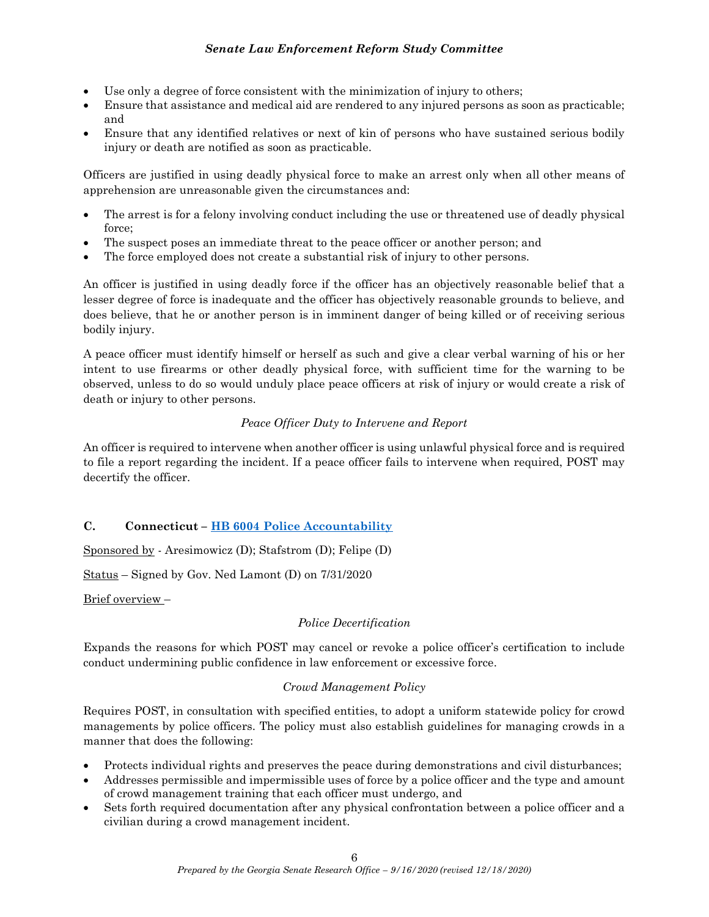- Use only a degree of force consistent with the minimization of injury to others;
- Ensure that assistance and medical aid are rendered to any injured persons as soon as practicable; and
- Ensure that any identified relatives or next of kin of persons who have sustained serious bodily injury or death are notified as soon as practicable.

Officers are justified in using deadly physical force to make an arrest only when all other means of apprehension are unreasonable given the circumstances and:

- The arrest is for a felony involving conduct including the use or threatened use of deadly physical force;
- The suspect poses an immediate threat to the peace officer or another person; and
- The force employed does not create a substantial risk of injury to other persons.

An officer is justified in using deadly force if the officer has an objectively reasonable belief that a lesser degree of force is inadequate and the officer has objectively reasonable grounds to believe, and does believe, that he or another person is in imminent danger of being killed or of receiving serious bodily injury.

A peace officer must identify himself or herself as such and give a clear verbal warning of his or her intent to use firearms or other deadly physical force, with sufficient time for the warning to be observed, unless to do so would unduly place peace officers at risk of injury or would create a risk of death or injury to other persons.

## Peace Officer Duty to Intervene and Report

An officer is required to intervene when another officer is using unlawful physical force and is required to file a report regarding the incident. If a peace officer fails to intervene when required, POST may decertify the officer.

# C. Connecticut – HB 6004 Police Accountability

Sponsored by - Aresimowicz (D); Stafstrom (D); Felipe (D)

Status – Signed by Gov. Ned Lamont (D) on 7/31/2020

Brief overview –

### Police Decertification

Expands the reasons for which POST may cancel or revoke a police officer's certification to include conduct undermining public confidence in law enforcement or excessive force.

### Crowd Management Policy

Requires POST, in consultation with specified entities, to adopt a uniform statewide policy for crowd managements by police officers. The policy must also establish guidelines for managing crowds in a manner that does the following:

- Protects individual rights and preserves the peace during demonstrations and civil disturbances;
- Addresses permissible and impermissible uses of force by a police officer and the type and amount of crowd management training that each officer must undergo, and
- Sets forth required documentation after any physical confrontation between a police officer and a civilian during a crowd management incident.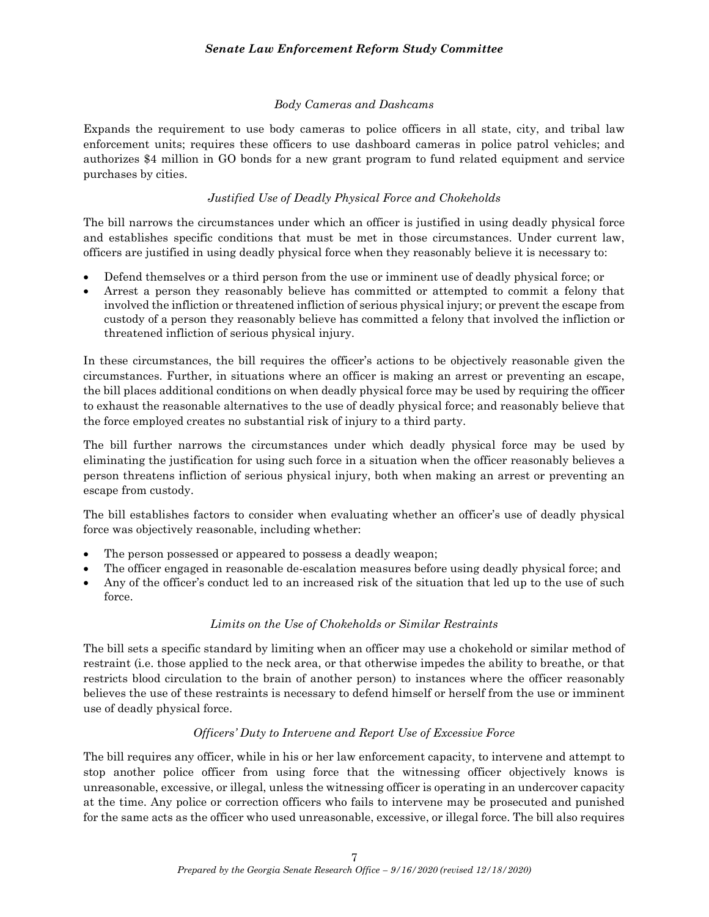### Body Cameras and Dashcams

Expands the requirement to use body cameras to police officers in all state, city, and tribal law enforcement units; requires these officers to use dashboard cameras in police patrol vehicles; and authorizes \$4 million in GO bonds for a new grant program to fund related equipment and service purchases by cities.

### Justified Use of Deadly Physical Force and Chokeholds

The bill narrows the circumstances under which an officer is justified in using deadly physical force and establishes specific conditions that must be met in those circumstances. Under current law, officers are justified in using deadly physical force when they reasonably believe it is necessary to:

- Defend themselves or a third person from the use or imminent use of deadly physical force; or
- Arrest a person they reasonably believe has committed or attempted to commit a felony that involved the infliction or threatened infliction of serious physical injury; or prevent the escape from custody of a person they reasonably believe has committed a felony that involved the infliction or threatened infliction of serious physical injury.

In these circumstances, the bill requires the officer's actions to be objectively reasonable given the circumstances. Further, in situations where an officer is making an arrest or preventing an escape, the bill places additional conditions on when deadly physical force may be used by requiring the officer to exhaust the reasonable alternatives to the use of deadly physical force; and reasonably believe that the force employed creates no substantial risk of injury to a third party.

The bill further narrows the circumstances under which deadly physical force may be used by eliminating the justification for using such force in a situation when the officer reasonably believes a person threatens infliction of serious physical injury, both when making an arrest or preventing an escape from custody.

The bill establishes factors to consider when evaluating whether an officer's use of deadly physical force was objectively reasonable, including whether:

- The person possessed or appeared to possess a deadly weapon;
- The officer engaged in reasonable de-escalation measures before using deadly physical force; and
- Any of the officer's conduct led to an increased risk of the situation that led up to the use of such force.

#### Limits on the Use of Chokeholds or Similar Restraints

The bill sets a specific standard by limiting when an officer may use a chokehold or similar method of restraint (i.e. those applied to the neck area, or that otherwise impedes the ability to breathe, or that restricts blood circulation to the brain of another person) to instances where the officer reasonably believes the use of these restraints is necessary to defend himself or herself from the use or imminent use of deadly physical force.

#### Officers' Duty to Intervene and Report Use of Excessive Force

The bill requires any officer, while in his or her law enforcement capacity, to intervene and attempt to stop another police officer from using force that the witnessing officer objectively knows is unreasonable, excessive, or illegal, unless the witnessing officer is operating in an undercover capacity at the time. Any police or correction officers who fails to intervene may be prosecuted and punished for the same acts as the officer who used unreasonable, excessive, or illegal force. The bill also requires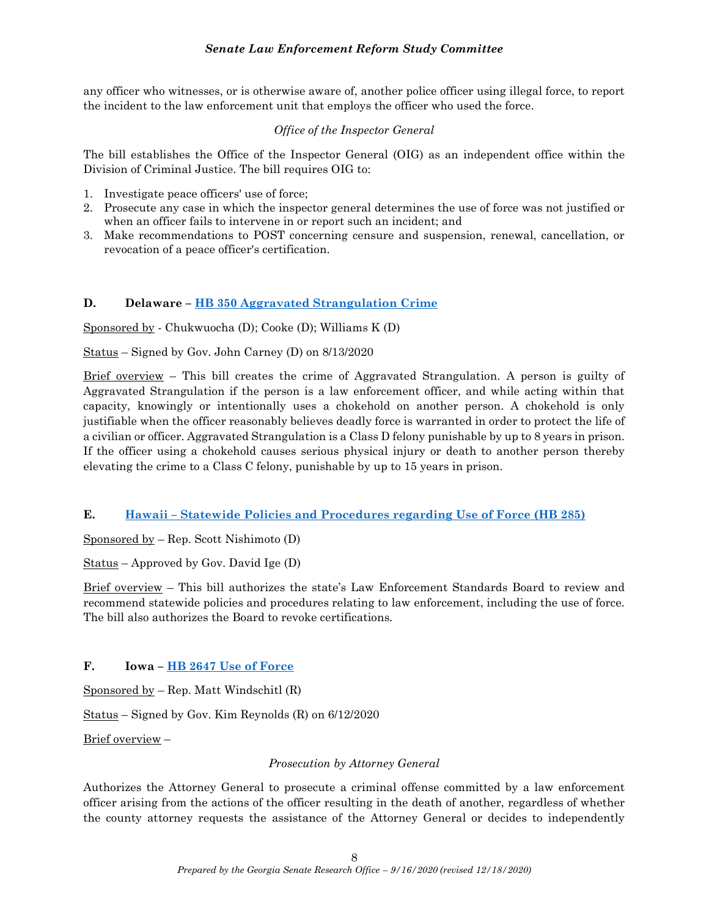any officer who witnesses, or is otherwise aware of, another police officer using illegal force, to report the incident to the law enforcement unit that employs the officer who used the force.

### Office of the Inspector General

The bill establishes the Office of the Inspector General (OIG) as an independent office within the Division of Criminal Justice. The bill requires OIG to:

- 1. Investigate peace officers' use of force;
- 2. Prosecute any case in which the inspector general determines the use of force was not justified or when an officer fails to intervene in or report such an incident; and
- 3. Make recommendations to POST concerning censure and suspension, renewal, cancellation, or revocation of a peace officer's certification.

### D. Delaware – HB 350 Aggravated Strangulation Crime

Sponsored by - Chukwuocha (D); Cooke (D); Williams K (D)

Status – Signed by Gov. John Carney (D) on 8/13/2020

Brief overview – This bill creates the crime of Aggravated Strangulation. A person is guilty of Aggravated Strangulation if the person is a law enforcement officer, and while acting within that capacity, knowingly or intentionally uses a chokehold on another person. A chokehold is only justifiable when the officer reasonably believes deadly force is warranted in order to protect the life of a civilian or officer. Aggravated Strangulation is a Class D felony punishable by up to 8 years in prison. If the officer using a chokehold causes serious physical injury or death to another person thereby elevating the crime to a Class C felony, punishable by up to 15 years in prison.

#### E. Hawaii – Statewide Policies and Procedures regarding Use of Force (HB 285)

Sponsored by – Rep. Scott Nishimoto (D)

Status – Approved by Gov. David Ige (D)

Brief overview – This bill authorizes the state's Law Enforcement Standards Board to review and recommend statewide policies and procedures relating to law enforcement, including the use of force. The bill also authorizes the Board to revoke certifications.

### F. Iowa – HB 2647 Use of Force

Sponsored by – Rep. Matt Windschitl (R)

Status – Signed by Gov. Kim Reynolds (R) on 6/12/2020

Brief overview –

#### Prosecution by Attorney General

Authorizes the Attorney General to prosecute a criminal offense committed by a law enforcement officer arising from the actions of the officer resulting in the death of another, regardless of whether the county attorney requests the assistance of the Attorney General or decides to independently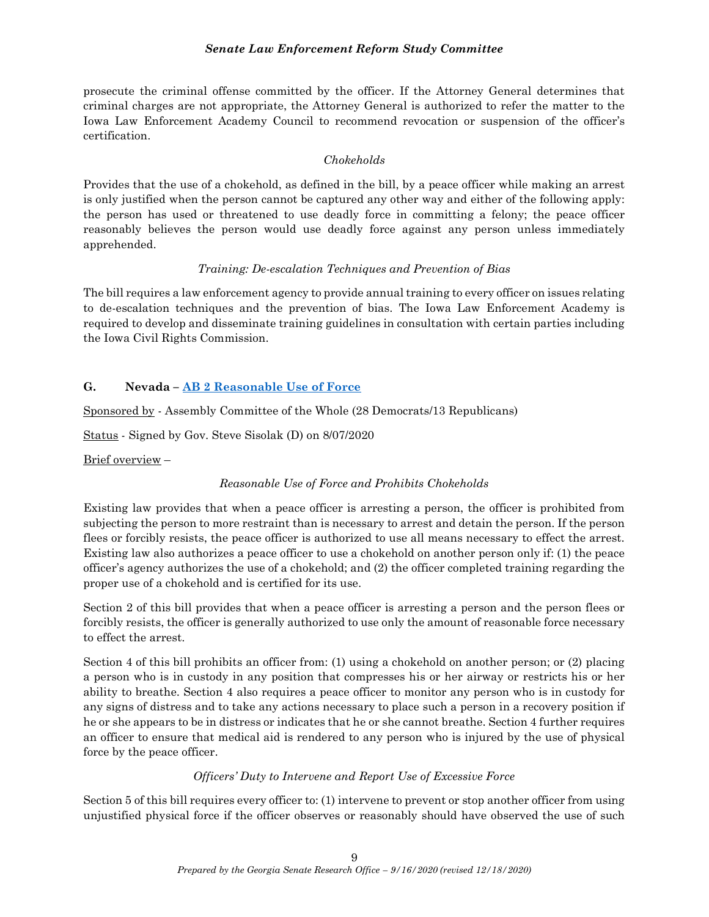prosecute the criminal offense committed by the officer. If the Attorney General determines that criminal charges are not appropriate, the Attorney General is authorized to refer the matter to the Iowa Law Enforcement Academy Council to recommend revocation or suspension of the officer's certification.

### Chokeholds

Provides that the use of a chokehold, as defined in the bill, by a peace officer while making an arrest is only justified when the person cannot be captured any other way and either of the following apply: the person has used or threatened to use deadly force in committing a felony; the peace officer reasonably believes the person would use deadly force against any person unless immediately apprehended.

### Training: De-escalation Techniques and Prevention of Bias

The bill requires a law enforcement agency to provide annual training to every officer on issues relating to de-escalation techniques and the prevention of bias. The Iowa Law Enforcement Academy is required to develop and disseminate training guidelines in consultation with certain parties including the Iowa Civil Rights Commission.

### G. Nevada – AB 2 Reasonable Use of Force

Sponsored by - Assembly Committee of the Whole (28 Democrats/13 Republicans)

Status - Signed by Gov. Steve Sisolak (D) on 8/07/2020

Brief overview –

### Reasonable Use of Force and Prohibits Chokeholds

Existing law provides that when a peace officer is arresting a person, the officer is prohibited from subjecting the person to more restraint than is necessary to arrest and detain the person. If the person flees or forcibly resists, the peace officer is authorized to use all means necessary to effect the arrest. Existing law also authorizes a peace officer to use a chokehold on another person only if: (1) the peace officer's agency authorizes the use of a chokehold; and (2) the officer completed training regarding the proper use of a chokehold and is certified for its use.

Section 2 of this bill provides that when a peace officer is arresting a person and the person flees or forcibly resists, the officer is generally authorized to use only the amount of reasonable force necessary to effect the arrest.

Section 4 of this bill prohibits an officer from: (1) using a chokehold on another person; or (2) placing a person who is in custody in any position that compresses his or her airway or restricts his or her ability to breathe. Section 4 also requires a peace officer to monitor any person who is in custody for any signs of distress and to take any actions necessary to place such a person in a recovery position if he or she appears to be in distress or indicates that he or she cannot breathe. Section 4 further requires an officer to ensure that medical aid is rendered to any person who is injured by the use of physical force by the peace officer.

#### Officers' Duty to Intervene and Report Use of Excessive Force

Section 5 of this bill requires every officer to: (1) intervene to prevent or stop another officer from using unjustified physical force if the officer observes or reasonably should have observed the use of such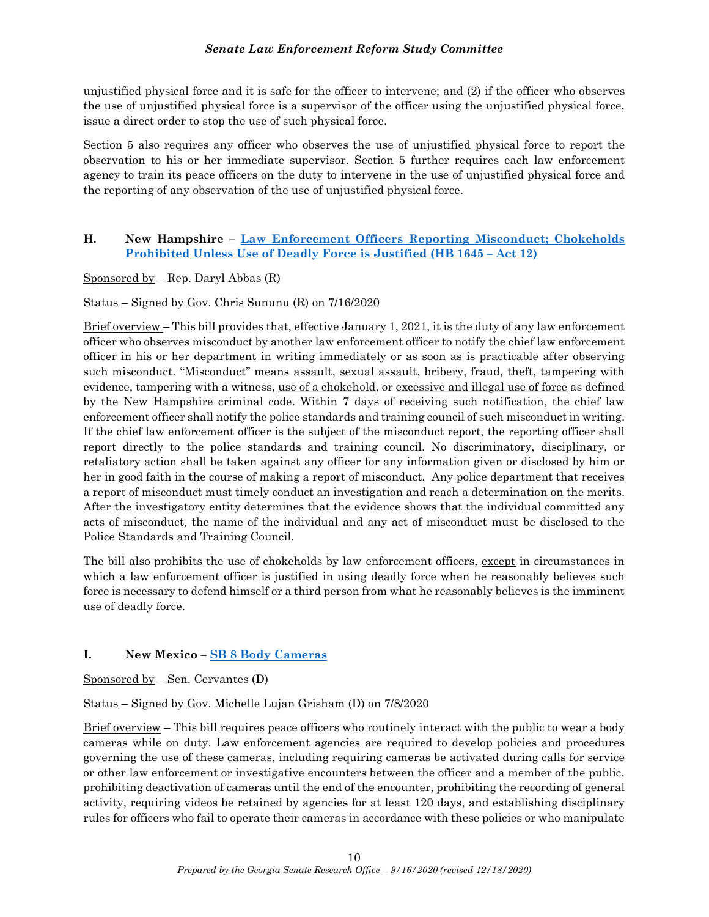unjustified physical force and it is safe for the officer to intervene; and (2) if the officer who observes the use of unjustified physical force is a supervisor of the officer using the unjustified physical force, issue a direct order to stop the use of such physical force.

Section 5 also requires any officer who observes the use of unjustified physical force to report the observation to his or her immediate supervisor. Section 5 further requires each law enforcement agency to train its peace officers on the duty to intervene in the use of unjustified physical force and the reporting of any observation of the use of unjustified physical force.

## H. New Hampshire – Law Enforcement Officers Reporting Misconduct; Chokeholds Prohibited Unless Use of Deadly Force is Justified (HB 1645 – Act 12)

Sponsored by  $-$  Rep. Daryl Abbas  $(R)$ 

Status – Signed by Gov. Chris Sununu (R) on 7/16/2020

Brief overview – This bill provides that, effective January 1, 2021, it is the duty of any law enforcement officer who observes misconduct by another law enforcement officer to notify the chief law enforcement officer in his or her department in writing immediately or as soon as is practicable after observing such misconduct. "Misconduct" means assault, sexual assault, bribery, fraud, theft, tampering with evidence, tampering with a witness, use of a chokehold, or excessive and illegal use of force as defined by the New Hampshire criminal code. Within 7 days of receiving such notification, the chief law enforcement officer shall notify the police standards and training council of such misconduct in writing. If the chief law enforcement officer is the subject of the misconduct report, the reporting officer shall report directly to the police standards and training council. No discriminatory, disciplinary, or retaliatory action shall be taken against any officer for any information given or disclosed by him or her in good faith in the course of making a report of misconduct. Any police department that receives a report of misconduct must timely conduct an investigation and reach a determination on the merits. After the investigatory entity determines that the evidence shows that the individual committed any acts of misconduct, the name of the individual and any act of misconduct must be disclosed to the Police Standards and Training Council.

The bill also prohibits the use of chokeholds by law enforcement officers, except in circumstances in which a law enforcement officer is justified in using deadly force when he reasonably believes such force is necessary to defend himself or a third person from what he reasonably believes is the imminent use of deadly force.

# I. New Mexico – SB 8 Body Cameras

Sponsored by  $-$  Sen. Cervantes (D)

Status – Signed by Gov. Michelle Lujan Grisham (D) on 7/8/2020

Brief overview – This bill requires peace officers who routinely interact with the public to wear a body cameras while on duty. Law enforcement agencies are required to develop policies and procedures governing the use of these cameras, including requiring cameras be activated during calls for service or other law enforcement or investigative encounters between the officer and a member of the public, prohibiting deactivation of cameras until the end of the encounter, prohibiting the recording of general activity, requiring videos be retained by agencies for at least 120 days, and establishing disciplinary rules for officers who fail to operate their cameras in accordance with these policies or who manipulate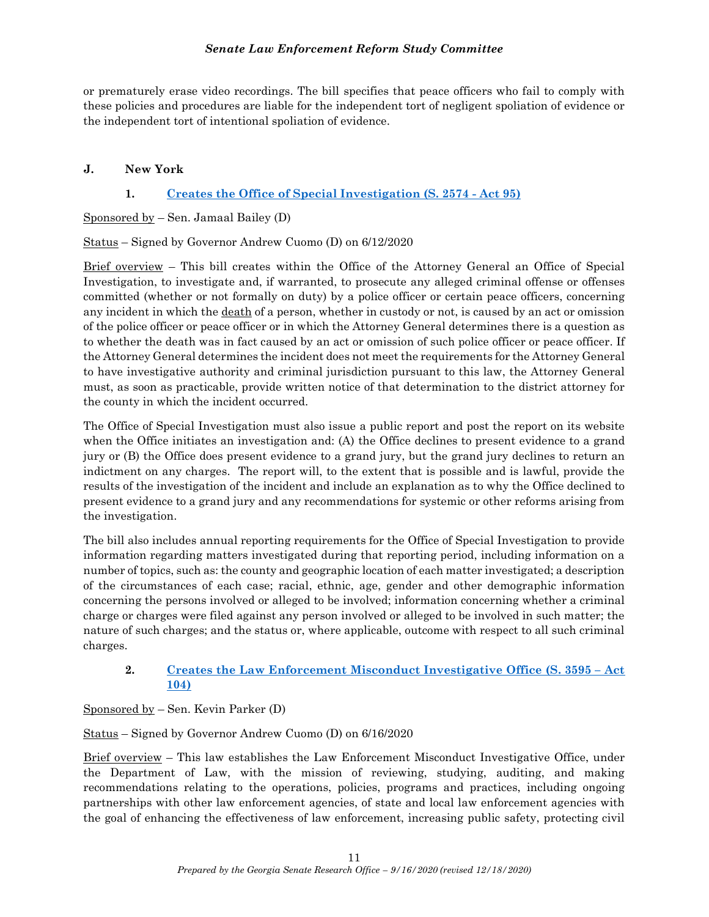or prematurely erase video recordings. The bill specifies that peace officers who fail to comply with these policies and procedures are liable for the independent tort of negligent spoliation of evidence or the independent tort of intentional spoliation of evidence.

### J. New York

## 1. Creates the Office of Special Investigation (S. 2574 - Act 95)

Sponsored by  $-$  Sen. Jamaal Bailey (D)

Status – Signed by Governor Andrew Cuomo (D) on 6/12/2020

Brief overview – This bill creates within the Office of the Attorney General an Office of Special Investigation, to investigate and, if warranted, to prosecute any alleged criminal offense or offenses committed (whether or not formally on duty) by a police officer or certain peace officers, concerning any incident in which the death of a person, whether in custody or not, is caused by an act or omission of the police officer or peace officer or in which the Attorney General determines there is a question as to whether the death was in fact caused by an act or omission of such police officer or peace officer. If the Attorney General determines the incident does not meet the requirements for the Attorney General to have investigative authority and criminal jurisdiction pursuant to this law, the Attorney General must, as soon as practicable, provide written notice of that determination to the district attorney for the county in which the incident occurred.

The Office of Special Investigation must also issue a public report and post the report on its website when the Office initiates an investigation and: (A) the Office declines to present evidence to a grand jury or (B) the Office does present evidence to a grand jury, but the grand jury declines to return an indictment on any charges. The report will, to the extent that is possible and is lawful, provide the results of the investigation of the incident and include an explanation as to why the Office declined to present evidence to a grand jury and any recommendations for systemic or other reforms arising from the investigation.

The bill also includes annual reporting requirements for the Office of Special Investigation to provide information regarding matters investigated during that reporting period, including information on a number of topics, such as: the county and geographic location of each matter investigated; a description of the circumstances of each case; racial, ethnic, age, gender and other demographic information concerning the persons involved or alleged to be involved; information concerning whether a criminal charge or charges were filed against any person involved or alleged to be involved in such matter; the nature of such charges; and the status or, where applicable, outcome with respect to all such criminal charges.

### 2. Creates the Law Enforcement Misconduct Investigative Office (S. 3595 – Act 104)

Sponsored by – Sen. Kevin Parker (D)

Status – Signed by Governor Andrew Cuomo (D) on 6/16/2020

Brief overview – This law establishes the Law Enforcement Misconduct Investigative Office, under the Department of Law, with the mission of reviewing, studying, auditing, and making recommendations relating to the operations, policies, programs and practices, including ongoing partnerships with other law enforcement agencies, of state and local law enforcement agencies with the goal of enhancing the effectiveness of law enforcement, increasing public safety, protecting civil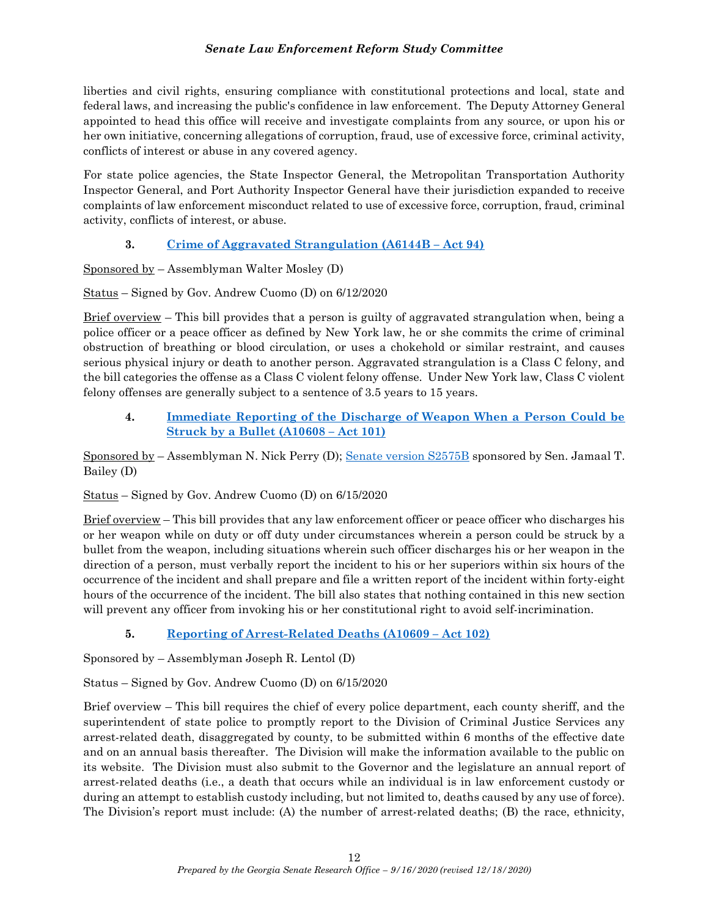liberties and civil rights, ensuring compliance with constitutional protections and local, state and federal laws, and increasing the public's confidence in law enforcement. The Deputy Attorney General appointed to head this office will receive and investigate complaints from any source, or upon his or her own initiative, concerning allegations of corruption, fraud, use of excessive force, criminal activity, conflicts of interest or abuse in any covered agency.

For state police agencies, the State Inspector General, the Metropolitan Transportation Authority Inspector General, and Port Authority Inspector General have their jurisdiction expanded to receive complaints of law enforcement misconduct related to use of excessive force, corruption, fraud, criminal activity, conflicts of interest, or abuse.

# 3. Crime of Aggravated Strangulation (A6144B – Act 94)

Sponsored by – Assemblyman Walter Mosley (D)

Status – Signed by Gov. Andrew Cuomo (D) on 6/12/2020

Brief overview – This bill provides that a person is guilty of aggravated strangulation when, being a police officer or a peace officer as defined by New York law, he or she commits the crime of criminal obstruction of breathing or blood circulation, or uses a chokehold or similar restraint, and causes serious physical injury or death to another person. Aggravated strangulation is a Class C felony, and the bill categories the offense as a Class C violent felony offense. Under New York law, Class C violent felony offenses are generally subject to a sentence of 3.5 years to 15 years.

## 4. Immediate Reporting of the Discharge of Weapon When a Person Could be Struck by a Bullet (A10608 – Act 101)

Sponsored by – Assemblyman N. Nick Perry (D); Senate version S2575B sponsored by Sen. Jamaal T. Bailey (D)

Status – Signed by Gov. Andrew Cuomo (D) on 6/15/2020

Brief overview – This bill provides that any law enforcement officer or peace officer who discharges his or her weapon while on duty or off duty under circumstances wherein a person could be struck by a bullet from the weapon, including situations wherein such officer discharges his or her weapon in the direction of a person, must verbally report the incident to his or her superiors within six hours of the occurrence of the incident and shall prepare and file a written report of the incident within forty-eight hours of the occurrence of the incident. The bill also states that nothing contained in this new section will prevent any officer from invoking his or her constitutional right to avoid self-incrimination.

# 5. Reporting of Arrest-Related Deaths (A10609 – Act 102)

Sponsored by – Assemblyman Joseph R. Lentol (D)

Status – Signed by Gov. Andrew Cuomo (D) on 6/15/2020

Brief overview – This bill requires the chief of every police department, each county sheriff, and the superintendent of state police to promptly report to the Division of Criminal Justice Services any arrest-related death, disaggregated by county, to be submitted within 6 months of the effective date and on an annual basis thereafter. The Division will make the information available to the public on its website. The Division must also submit to the Governor and the legislature an annual report of arrest-related deaths (i.e., a death that occurs while an individual is in law enforcement custody or during an attempt to establish custody including, but not limited to, deaths caused by any use of force). The Division's report must include: (A) the number of arrest-related deaths; (B) the race, ethnicity,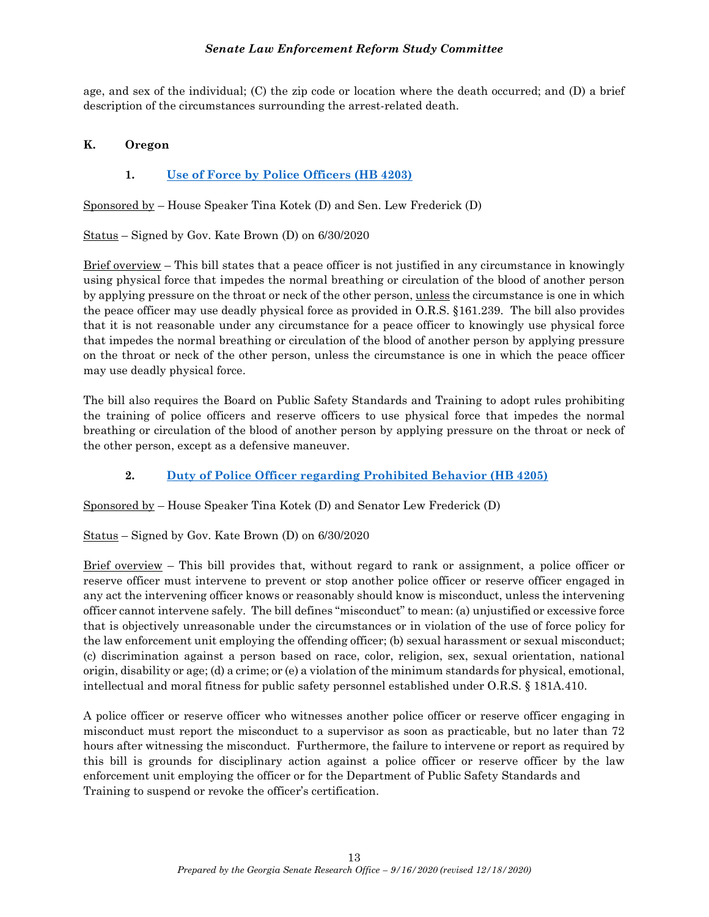age, and sex of the individual; (C) the zip code or location where the death occurred; and (D) a brief description of the circumstances surrounding the arrest-related death.

### K. Oregon

## 1. Use of Force by Police Officers (HB 4203)

Sponsored by – House Speaker Tina Kotek (D) and Sen. Lew Frederick (D)

Status – Signed by Gov. Kate Brown (D) on 6/30/2020

Brief overview – This bill states that a peace officer is not justified in any circumstance in knowingly using physical force that impedes the normal breathing or circulation of the blood of another person by applying pressure on the throat or neck of the other person, unless the circumstance is one in which the peace officer may use deadly physical force as provided in O.R.S. §161.239. The bill also provides that it is not reasonable under any circumstance for a peace officer to knowingly use physical force that impedes the normal breathing or circulation of the blood of another person by applying pressure on the throat or neck of the other person, unless the circumstance is one in which the peace officer may use deadly physical force.

The bill also requires the Board on Public Safety Standards and Training to adopt rules prohibiting the training of police officers and reserve officers to use physical force that impedes the normal breathing or circulation of the blood of another person by applying pressure on the throat or neck of the other person, except as a defensive maneuver.

# 2. Duty of Police Officer regarding Prohibited Behavior (HB 4205)

Sponsored by – House Speaker Tina Kotek (D) and Senator Lew Frederick (D)

Status – Signed by Gov. Kate Brown (D) on 6/30/2020

Brief overview – This bill provides that, without regard to rank or assignment, a police officer or reserve officer must intervene to prevent or stop another police officer or reserve officer engaged in any act the intervening officer knows or reasonably should know is misconduct, unless the intervening officer cannot intervene safely. The bill defines "misconduct" to mean: (a) unjustified or excessive force that is objectively unreasonable under the circumstances or in violation of the use of force policy for the law enforcement unit employing the offending officer; (b) sexual harassment or sexual misconduct; (c) discrimination against a person based on race, color, religion, sex, sexual orientation, national origin, disability or age; (d) a crime; or (e) a violation of the minimum standards for physical, emotional, intellectual and moral fitness for public safety personnel established under O.R.S. § 181A.410.

A police officer or reserve officer who witnesses another police officer or reserve officer engaging in misconduct must report the misconduct to a supervisor as soon as practicable, but no later than 72 hours after witnessing the misconduct. Furthermore, the failure to intervene or report as required by this bill is grounds for disciplinary action against a police officer or reserve officer by the law enforcement unit employing the officer or for the Department of Public Safety Standards and Training to suspend or revoke the officer's certification.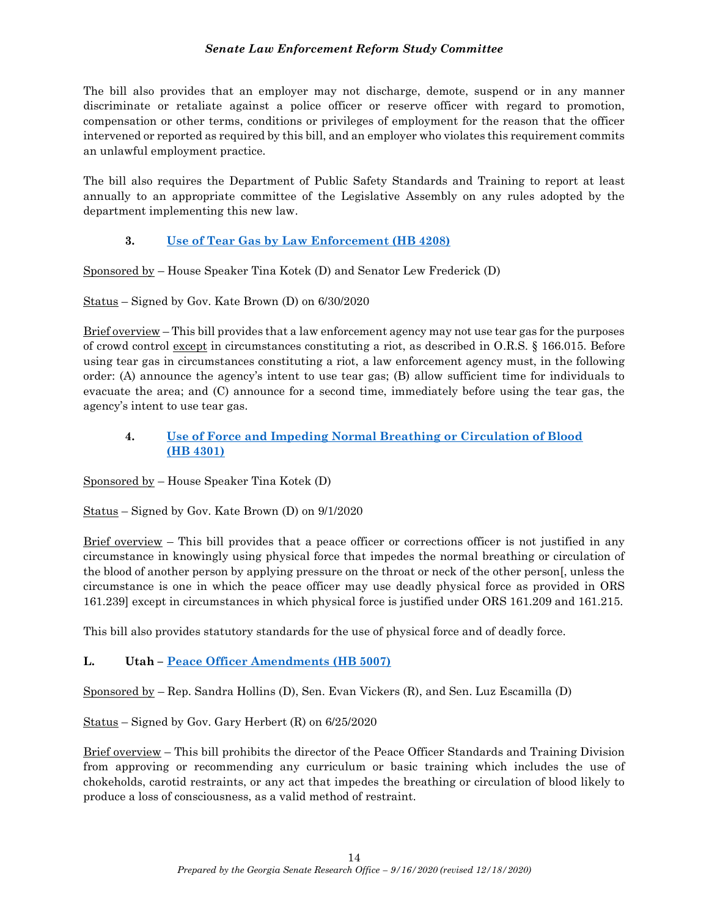The bill also provides that an employer may not discharge, demote, suspend or in any manner discriminate or retaliate against a police officer or reserve officer with regard to promotion, compensation or other terms, conditions or privileges of employment for the reason that the officer intervened or reported as required by this bill, and an employer who violates this requirement commits an unlawful employment practice.

The bill also requires the Department of Public Safety Standards and Training to report at least annually to an appropriate committee of the Legislative Assembly on any rules adopted by the department implementing this new law.

# 3. Use of Tear Gas by Law Enforcement (HB 4208)

Sponsored by – House Speaker Tina Kotek (D) and Senator Lew Frederick (D)

Status – Signed by Gov. Kate Brown (D) on 6/30/2020

Brief overview – This bill provides that a law enforcement agency may not use tear gas for the purposes of crowd control except in circumstances constituting a riot, as described in O.R.S. § 166.015. Before using tear gas in circumstances constituting a riot, a law enforcement agency must, in the following order: (A) announce the agency's intent to use tear gas; (B) allow sufficient time for individuals to evacuate the area; and (C) announce for a second time, immediately before using the tear gas, the agency's intent to use tear gas.

## 4. Use of Force and Impeding Normal Breathing or Circulation of Blood (HB 4301)

Sponsored by – House Speaker Tina Kotek (D)

Status – Signed by Gov. Kate Brown (D) on 9/1/2020

 $Brief overview - This bill provides that a peace officer or corrections officer is not justified in any$ </u> circumstance in knowingly using physical force that impedes the normal breathing or circulation of the blood of another person by applying pressure on the throat or neck of the other person[, unless the circumstance is one in which the peace officer may use deadly physical force as provided in ORS 161.239] except in circumstances in which physical force is justified under ORS 161.209 and 161.215.

This bill also provides statutory standards for the use of physical force and of deadly force.

### L. Utah – Peace Officer Amendments (HB 5007)

Sponsored by  $-$  Rep. Sandra Hollins (D), Sen. Evan Vickers (R), and Sen. Luz Escamilla (D)

Status – Signed by Gov. Gary Herbert (R) on 6/25/2020

Brief overview – This bill prohibits the director of the Peace Officer Standards and Training Division from approving or recommending any curriculum or basic training which includes the use of chokeholds, carotid restraints, or any act that impedes the breathing or circulation of blood likely to produce a loss of consciousness, as a valid method of restraint.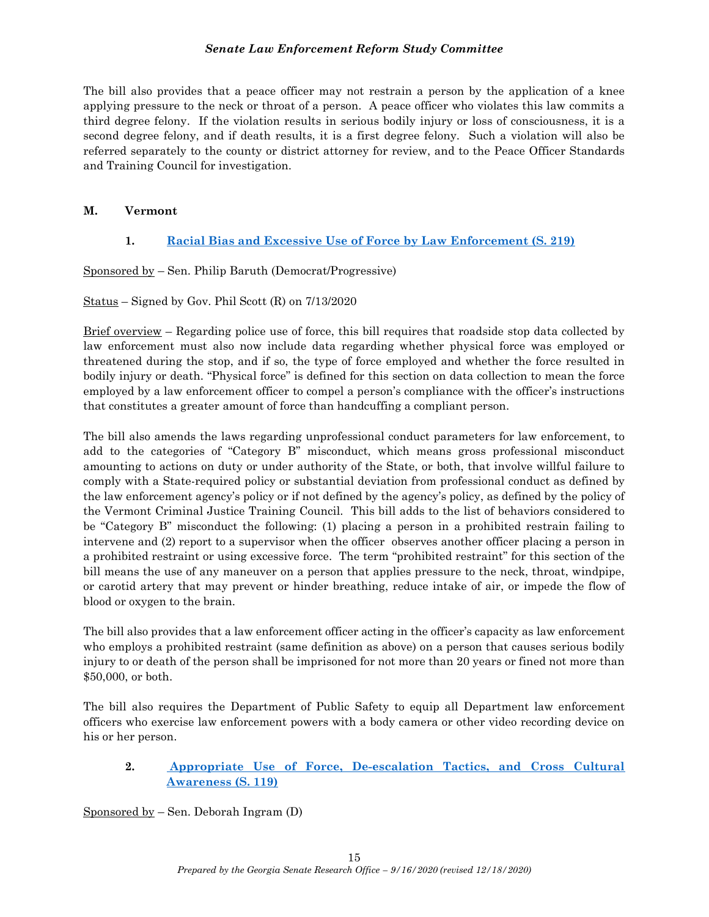The bill also provides that a peace officer may not restrain a person by the application of a knee applying pressure to the neck or throat of a person. A peace officer who violates this law commits a third degree felony. If the violation results in serious bodily injury or loss of consciousness, it is a second degree felony, and if death results, it is a first degree felony. Such a violation will also be referred separately to the county or district attorney for review, and to the Peace Officer Standards and Training Council for investigation.

## M. Vermont

# 1. Racial Bias and Excessive Use of Force by Law Enforcement (S. 219)

Sponsored by – Sen. Philip Baruth (Democrat/Progressive)

Status – Signed by Gov. Phil Scott (R) on 7/13/2020

Brief overview – Regarding police use of force, this bill requires that roadside stop data collected by law enforcement must also now include data regarding whether physical force was employed or threatened during the stop, and if so, the type of force employed and whether the force resulted in bodily injury or death. "Physical force" is defined for this section on data collection to mean the force employed by a law enforcement officer to compel a person's compliance with the officer's instructions that constitutes a greater amount of force than handcuffing a compliant person.

The bill also amends the laws regarding unprofessional conduct parameters for law enforcement, to add to the categories of "Category B" misconduct, which means gross professional misconduct amounting to actions on duty or under authority of the State, or both, that involve willful failure to comply with a State-required policy or substantial deviation from professional conduct as defined by the law enforcement agency's policy or if not defined by the agency's policy, as defined by the policy of the Vermont Criminal Justice Training Council. This bill adds to the list of behaviors considered to be "Category B" misconduct the following: (1) placing a person in a prohibited restrain failing to intervene and (2) report to a supervisor when the officer observes another officer placing a person in a prohibited restraint or using excessive force. The term "prohibited restraint" for this section of the bill means the use of any maneuver on a person that applies pressure to the neck, throat, windpipe, or carotid artery that may prevent or hinder breathing, reduce intake of air, or impede the flow of blood or oxygen to the brain.

The bill also provides that a law enforcement officer acting in the officer's capacity as law enforcement who employs a prohibited restraint (same definition as above) on a person that causes serious bodily injury to or death of the person shall be imprisoned for not more than 20 years or fined not more than \$50,000, or both.

The bill also requires the Department of Public Safety to equip all Department law enforcement officers who exercise law enforcement powers with a body camera or other video recording device on his or her person.

## 2. Appropriate Use of Force, De-escalation Tactics, and Cross Cultural Awareness (S. 119)

Sponsored by – Sen. Deborah Ingram (D)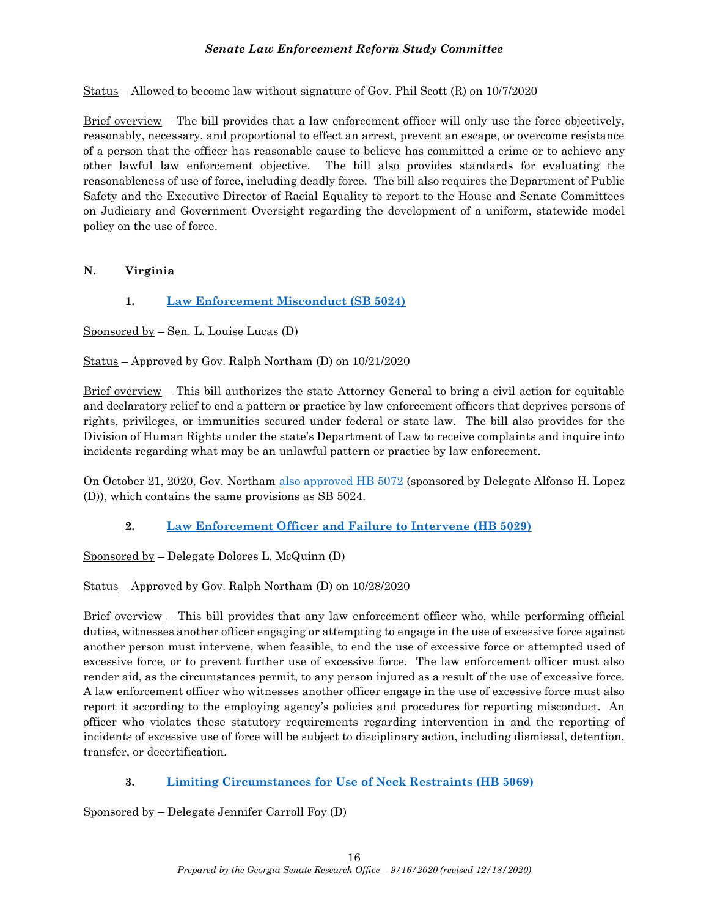Status – Allowed to become law without signature of Gov. Phil Scott (R) on 10/7/2020

Brief overview – The bill provides that a law enforcement officer will only use the force objectively, reasonably, necessary, and proportional to effect an arrest, prevent an escape, or overcome resistance of a person that the officer has reasonable cause to believe has committed a crime or to achieve any other lawful law enforcement objective. The bill also provides standards for evaluating the reasonableness of use of force, including deadly force. The bill also requires the Department of Public Safety and the Executive Director of Racial Equality to report to the House and Senate Committees on Judiciary and Government Oversight regarding the development of a uniform, statewide model policy on the use of force.

## N. Virginia

## 1. Law Enforcement Misconduct (SB 5024)

Sponsored by – Sen. L. Louise Lucas (D)

Status – Approved by Gov. Ralph Northam (D) on 10/21/2020

Brief overview – This bill authorizes the state Attorney General to bring a civil action for equitable and declaratory relief to end a pattern or practice by law enforcement officers that deprives persons of rights, privileges, or immunities secured under federal or state law. The bill also provides for the Division of Human Rights under the state's Department of Law to receive complaints and inquire into incidents regarding what may be an unlawful pattern or practice by law enforcement.

On October 21, 2020, Gov. Northam also approved HB 5072 (sponsored by Delegate Alfonso H. Lopez (D)), which contains the same provisions as SB 5024.

# 2. Law Enforcement Officer and Failure to Intervene (HB 5029)

Sponsored by – Delegate Dolores L. McQuinn (D)

Status – Approved by Gov. Ralph Northam (D) on 10/28/2020

 $Brief overview – This bill provides that any law enforcement officer who, while performing official$ </u> duties, witnesses another officer engaging or attempting to engage in the use of excessive force against another person must intervene, when feasible, to end the use of excessive force or attempted used of excessive force, or to prevent further use of excessive force. The law enforcement officer must also render aid, as the circumstances permit, to any person injured as a result of the use of excessive force. A law enforcement officer who witnesses another officer engage in the use of excessive force must also report it according to the employing agency's policies and procedures for reporting misconduct. An officer who violates these statutory requirements regarding intervention in and the reporting of incidents of excessive use of force will be subject to disciplinary action, including dismissal, detention, transfer, or decertification.

# 3. Limiting Circumstances for Use of Neck Restraints (HB 5069)

Sponsored by – Delegate Jennifer Carroll Foy (D)